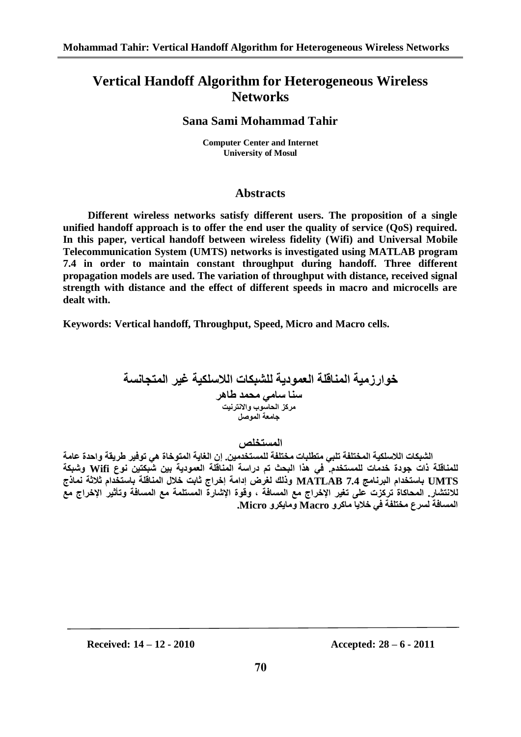# **Vertical Handoff Algorithm for Heterogeneous Wireless Networks**

## **Sana Sami Mohammad Tahir**

**Computer Center and Internet University of Mosul**

## **Abstracts**

**Different wireless networks satisfy different users. The proposition of a single unified handoff approach is to offer the end user the quality of service (QoS) required. In this paper, vertical handoff between wireless fidelity (Wifi) and Universal Mobile Telecommunication System (UMTS) networks is investigated using MATLAB program 7.4 in order to maintain constant throughput during handoff. Three different propagation models are used. The variation of throughput with distance, received signal strength with distance and the effect of different speeds in macro and microcells are dealt with.**

**Keywords: Vertical handoff, Throughput, Speed, Micro and Macro cells.**

خوارزمية المناقلة العمودية للشبكات اللاسلكية غير المتجانسة **سُا سايي يحًذ طاهش يشكض انحاسوب واالَخشَيج جايعت انًوصم**

المستخلص

الشبكات اللاسلكية المختلفة تلب*ى* متطلبات مختلفة للمستخدمين. إن الغاية المتوخاة هي توفير طريقة واحدة عامة **نهًُاقهت راث جودة خذياث نهًسخخذو. في هزا انبحث حى دساست انًُاقهت انعًوديت بيٍ شبكخيٍ َوع Wifi وشبكت UMTS باسخخذاو انبشَايج 7.4 MATLAB ورنك نغشض إدايت إخشاج ثابج خالل انًُاقهت باسخخذاو ثالثت ًَارج**  للانتشار. المحاكاة تركزت على تغير الإخراج مع المسافة ، وقوة الإشارة المستلمة مع المسافة وتأثير الإخراج مع **انًسافت نسشع يخخهفت في خاليا ياكشو Macro ويايكشو Micro.**

**Received: 14 – 12 - 2010 Accepted: 28 – 6 - 2011**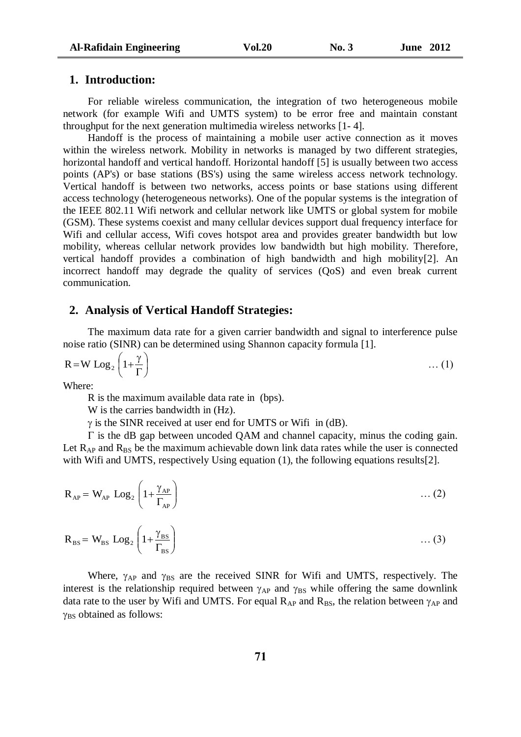## **1. Introduction:**

For reliable wireless communication, the integration of two heterogeneous mobile network (for example Wifi and UMTS system) to be error free and maintain constant throughput for the next generation multimedia wireless networks [1- 4].

Handoff is the process of maintaining a mobile user active connection as it moves within the wireless network. Mobility in networks is managed by two different strategies, horizontal handoff and vertical handoff. Horizontal handoff [5] is usually between two access points (AP's) or base stations (BS's) using the same wireless access network technology. Vertical handoff is between two networks, access points or base stations using different access technology (heterogeneous networks). One of the popular systems is the integration of the IEEE 802.11 Wifi network and cellular network like UMTS or global system for mobile (GSM). These systems coexist and many cellular devices support dual frequency interface for Wifi and cellular access, Wifi coves hotspot area and provides greater bandwidth but low mobility, whereas cellular network provides low bandwidth but high mobility. Therefore, vertical handoff provides a combination of high bandwidth and high mobility[2]. An incorrect handoff may degrade the quality of services (QoS) and even break current communication.

## **2. Analysis of Vertical Handoff Strategies:**

The maximum data rate for a given carrier bandwidth and signal to interference pulse noise ratio (SINR) can be determined using Shannon capacity formula [1].

$$
R = W \text{ Log}_2 \left( 1 + \frac{\gamma}{\Gamma} \right) \tag{1}
$$

Where:

R is the maximum available data rate in (bps).

W is the carries bandwidth in (Hz).

 $\gamma$  is the SINR received at user end for UMTS or Wifi in (dB).

 $\Gamma$  is the dB gap between uncoded QAM and channel capacity, minus the coding gain. Let  $R_{AP}$  and  $R_{BS}$  be the maximum achievable down link data rates while the user is connected with Wifi and UMTS, respectively Using equation (1), the following equations results[2].

$$
R_{AP} = W_{AP} \text{ Log}_2 \left( 1 + \frac{\gamma_{AP}}{\Gamma_{AP}} \right) \tag{2}
$$

$$
R_{BS} = W_{BS} \text{ Log}_2 \left( 1 + \frac{\gamma_{BS}}{\Gamma_{BS}} \right) \qquad \qquad \dots (3)
$$

Where,  $\gamma_{AP}$  and  $\gamma_{BS}$  are the received SINR for Wifi and UMTS, respectively. The interest is the relationship required between  $\gamma_{AP}$  and  $\gamma_{BS}$  while offering the same downlink data rate to the user by Wifi and UMTS. For equal  $R_{AP}$  and  $R_{BS}$ , the relation between  $\gamma_{AP}$  and  $\gamma_{BS}$  obtained as follows: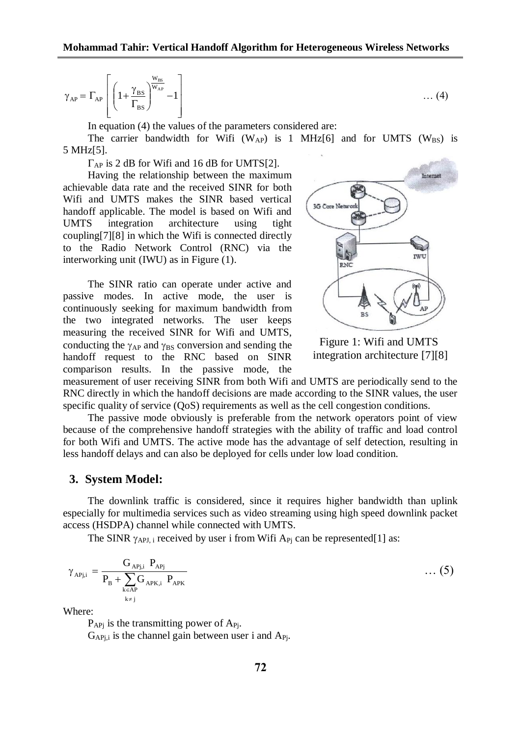$$
\gamma_{AP}=\Gamma_{AP}\left[\left(1\!+\!\frac{\gamma_{\rm BS}}{\Gamma_{\rm BS}}\right)^{\!\!\frac{W_{\rm BS}}{W_{AP}}}\!-\!1\right]
$$

In equation (4) the values of the parameters considered are:

The carrier bandwidth for Wifi (W<sub>AP</sub>) is 1 MHz[6] and for UMTS (W<sub>BS</sub>) is 5 MHz[5].

 $\Gamma_{AP}$  is 2 dB for Wifi and 16 dB for UMTS[2].

Having the relationship between the maximum achievable data rate and the received SINR for both Wifi and UMTS makes the SINR based vertical handoff applicable. The model is based on Wifi and UMTS integration architecture using tight coupling[7][8] in which the Wifi is connected directly to the Radio Network Control (RNC) via the interworking unit (IWU) as in Figure (1).

The SINR ratio can operate under active and passive modes. In active mode, the user is continuously seeking for maximum bandwidth from the two integrated networks. The user keeps measuring the received SINR for Wifi and UMTS, conducting the  $\gamma_{AP}$  and  $\gamma_{BS}$  conversion and sending the handoff request to the RNC based on SINR comparison results. In the passive mode, the



Figure 1: Wifi and UMTS integration architecture [7][8]

measurement of user receiving SINR from both Wifi and UMTS are periodically send to the RNC directly in which the handoff decisions are made according to the SINR values, the user specific quality of service (QoS) requirements as well as the cell congestion conditions.

The passive mode obviously is preferable from the network operators point of view because of the comprehensive handoff strategies with the ability of traffic and load control for both Wifi and UMTS. The active mode has the advantage of self detection, resulting in less handoff delays and can also be deployed for cells under low load condition.

### **3. System Model:**

The downlink traffic is considered, since it requires higher bandwidth than uplink especially for multimedia services such as video streaming using high speed downlink packet access (HSDPA) channel while connected with UMTS.

The SINR  $\gamma_{APJ,i}$  received by user i from Wifi  $A_{Pi}$  can be represented[1] as:

$$
\gamma_{APj,i} = \frac{G_{APj,i}}{P_B + \sum_{\substack{k \in AP \\ k \neq j}} G_{APK,i}} P_{APK} \qquad \qquad \dots (5)
$$

Where:

 $P_{APi}$  is the transmitting power of  $A_{Pi}$ .

 $G_{APi,i}$  is the channel gain between user i and  $A_{Pi}$ .

 $\ldots$  (4)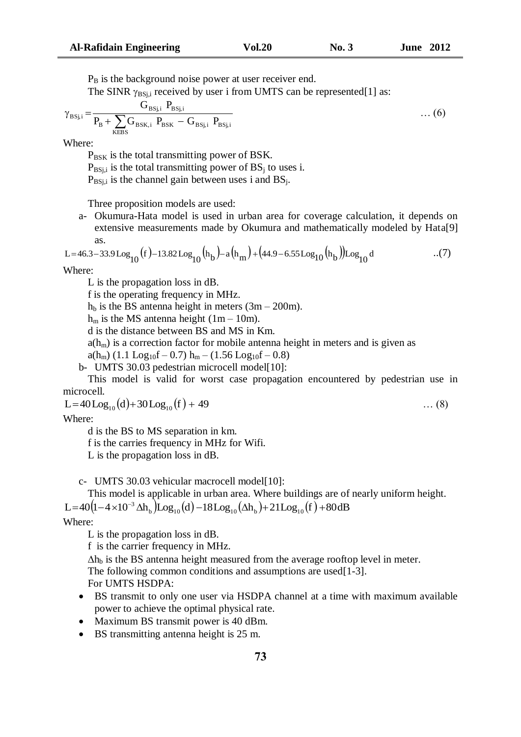$P_B$  is the background noise power at user receiver end.

The SINR  $\gamma_{BS,i}$  received by user i from UMTS can be represented[1] as:

$$
\gamma_{BSj,i} = \frac{G_{BSj,i} P_{BSj,i}}{P_B + \sum_{KEBS} G_{BSK,i} P_{BSK} - G_{BSj,i} P_{BSj,i}}
$$
 ... (6)

Where:

P<sub>BSK</sub> is the total transmitting power of BSK.

 $P_{BSi,i}$  is the total transmitting power of  $BS_i$  to uses i.

 $P_{BSi,i}$  is the channel gain between uses i and  $BS_i$ .

Three proposition models are used:

a- Okumura-Hata model is used in urban area for coverage calculation, it depends on extensive measurements made by Okumura and mathematically modeled by Hata[9] as.

$$
L = 46.3 - 33.9 \log_{10}(f) - 13.82 \log_{10}(h_b) - a(h_m) + (44.9 - 6.55 \log_{10}(h_b)) \log_{10} d \tag{7}
$$

Where:

L is the propagation loss in dB.

f is the operating frequency in MHz.

 $h_b$  is the BS antenna height in meters (3m – 200m).

 $h_m$  is the MS antenna height (1m – 10m).

d is the distance between BS and MS in Km.

 $a(h_m)$  is a correction factor for mobile antenna height in meters and is given as

 $a(h_m)$  (1.1 Log<sub>10</sub>f – 0.7)  $h_m$  – (1.56 Log<sub>10</sub>f – 0.8)

b- UMTS 30.03 pedestrian microcell model[10]:

This model is valid for worst case propagation encountered by pedestrian use in microcell.

 $L=40 \text{Log}_{10}(d)+30 \text{Log}_{10}(f) + 49$  … (8)

Where:

d is the BS to MS separation in km.

f is the carries frequency in MHz for Wifi.

L is the propagation loss in dB.

c- UMTS 30.03 vehicular macrocell model[10]:

This model is applicable in urban area. Where buildings are of nearly uniform height. This model is applicable in urban area. Where buildings are of<br>L= $40(1-4\times10^{-3} \Delta h_b)\text{Log}_{10}(d) -18\text{Log}_{10}(\Delta h_b)+21\text{Log}_{10}(f)+80\text{dB}$ 

### Where:

L is the propagation loss in dB.

f is the carrier frequency in MHz.

 $\Delta h_b$  is the BS antenna height measured from the average rooftop level in meter. The following common conditions and assumptions are used[1-3]. For UMTS HSDPA:

- BS transmit to only one user via HSDPA channel at a time with maximum available power to achieve the optimal physical rate.
- Maximum BS transmit power is 40 dBm.
- BS transmitting antenna height is 25 m.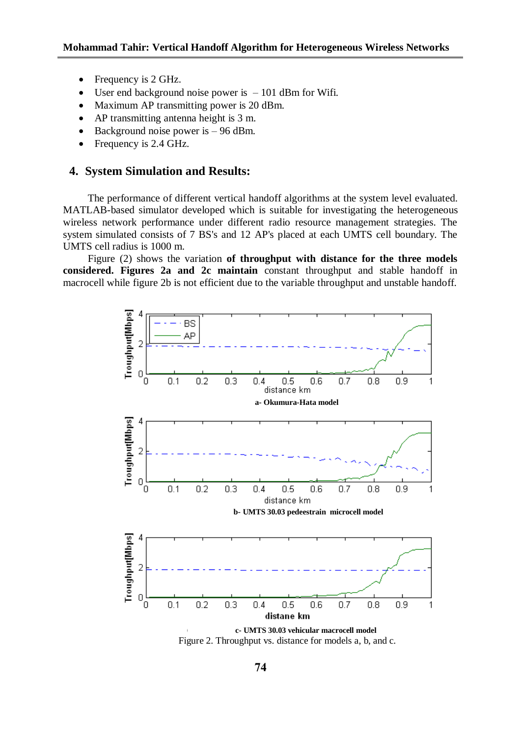- Frequency is 2 GHz.
- User end background noise power is  $-101$  dBm for Wifi.
- Maximum AP transmitting power is 20 dBm.
- AP transmitting antenna height is 3 m.
- $\bullet$  Background noise power is  $-96$  dBm.
- Frequency is 2.4 GHz.

## **4. System Simulation and Results:**

The performance of different vertical handoff algorithms at the system level evaluated. MATLAB-based simulator developed which is suitable for investigating the heterogeneous wireless network performance under different radio resource management strategies. The system simulated consists of 7 BS's and 12 AP's placed at each UMTS cell boundary. The UMTS cell radius is 1000 m.

Figure (2) shows the variation **of throughput with distance for the three models considered. Figures 2a and 2c maintain** constant throughput and stable handoff in macrocell while figure 2b is not efficient due to the variable throughput and unstable handoff.



Figure 2. Throughput vs. distance for models a, b, and c.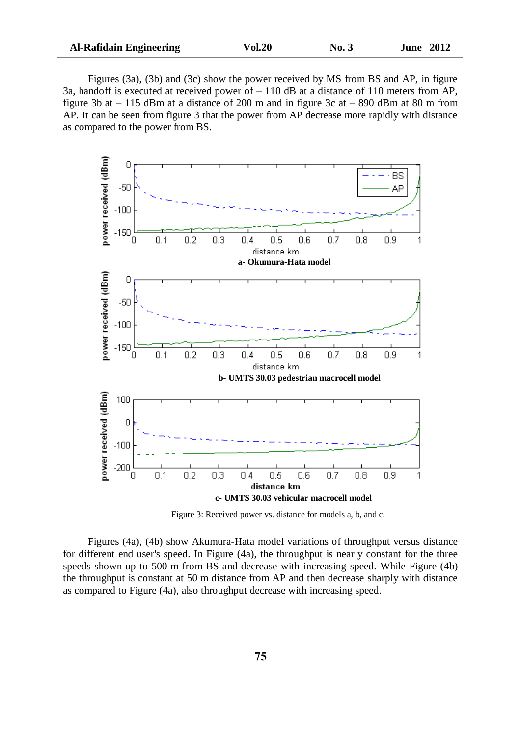Figures (3a), (3b) and (3c) show the power received by MS from BS and AP, in figure 3a, handoff is executed at received power of  $-110$  dB at a distance of 110 meters from AP, figure 3b at  $-115$  dBm at a distance of 200 m and in figure 3c at  $-890$  dBm at 80 m from AP. It can be seen from figure 3 that the power from AP decrease more rapidly with distance as compared to the power from BS.



Figure 3: Received power vs. distance for models a, b, and c.

Figures (4a), (4b) show Akumura-Hata model variations of throughput versus distance for different end user's speed. In Figure (4a), the throughput is nearly constant for the three speeds shown up to 500 m from BS and decrease with increasing speed. While Figure (4b) the throughput is constant at 50 m distance from AP and then decrease sharply with distance as compared to Figure (4a), also throughput decrease with increasing speed.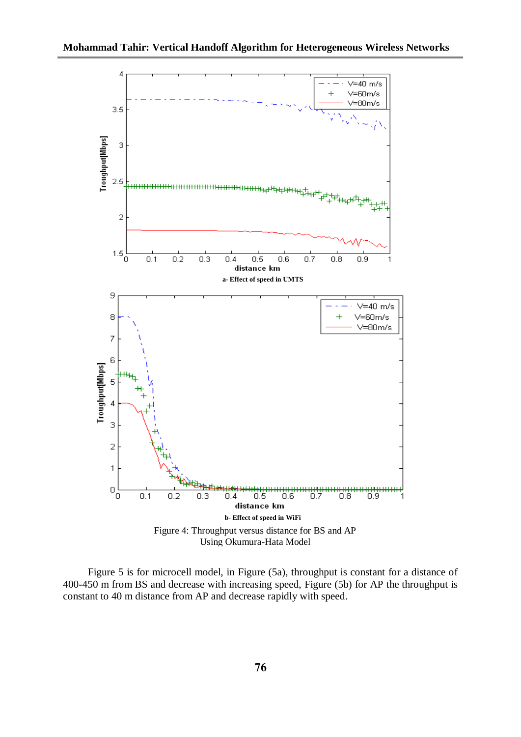

Figure 5 is for microcell model, in Figure (5a), throughput is constant for a distance of 400-450 m from BS and decrease with increasing speed, Figure (5b) for AP the throughput is constant to 40 m distance from AP and decrease rapidly with speed.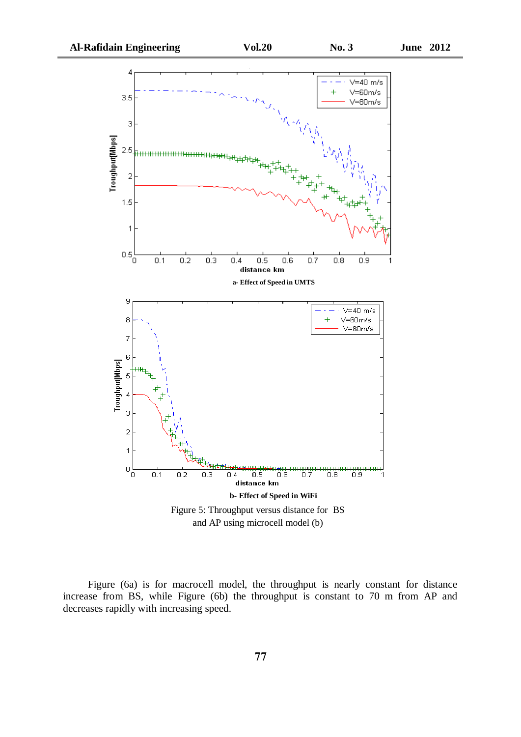

Figure (6a) is for macrocell model, the throughput is nearly constant for distance increase from BS, while Figure (6b) the throughput is constant to 70 m from AP and decreases rapidly with increasing speed.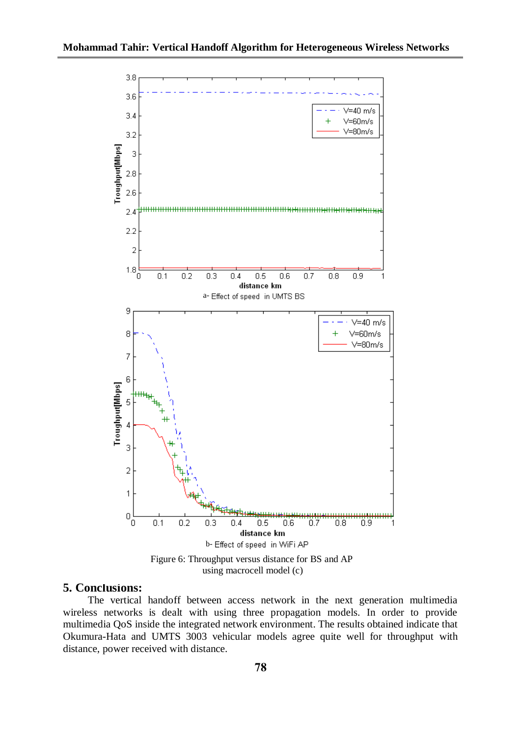

using macrocell model (c)

## **5. Conclusions:**

The vertical handoff between access network in the next generation multimedia wireless networks is dealt with using three propagation models. In order to provide multimedia QoS inside the integrated network environment. The results obtained indicate that Okumura-Hata and UMTS 3003 vehicular models agree quite well for throughput with distance, power received with distance.